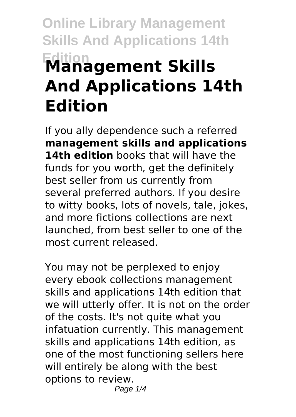# **Online Library Management Skills And Applications 14th Edition Management Skills And Applications 14th Edition**

If you ally dependence such a referred **management skills and applications 14th edition** books that will have the funds for you worth, get the definitely best seller from us currently from several preferred authors. If you desire to witty books, lots of novels, tale, jokes, and more fictions collections are next launched, from best seller to one of the most current released.

You may not be perplexed to enjoy every ebook collections management skills and applications 14th edition that we will utterly offer. It is not on the order of the costs. It's not quite what you infatuation currently. This management skills and applications 14th edition, as one of the most functioning sellers here will entirely be along with the best options to review. Page  $1/4$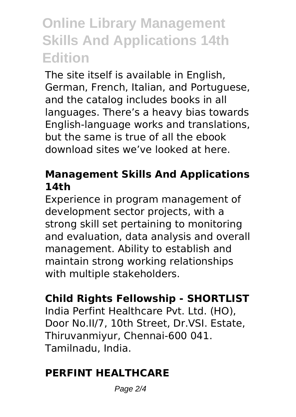# **Online Library Management Skills And Applications 14th Edition**

The site itself is available in English, German, French, Italian, and Portuguese, and the catalog includes books in all languages. There's a heavy bias towards English-language works and translations, but the same is true of all the ebook download sites we've looked at here.

### **Management Skills And Applications 14th**

Experience in program management of development sector projects, with a strong skill set pertaining to monitoring and evaluation, data analysis and overall management. Ability to establish and maintain strong working relationships with multiple stakeholders.

# **Child Rights Fellowship - SHORTLIST**

India Perfint Healthcare Pvt. Ltd. (HO), Door No.II/7, 10th Street, Dr.VSI. Estate, Thiruvanmiyur, Chennai-600 041. Tamilnadu, India.

# **PERFINT HEALTHCARE**

Page 2/4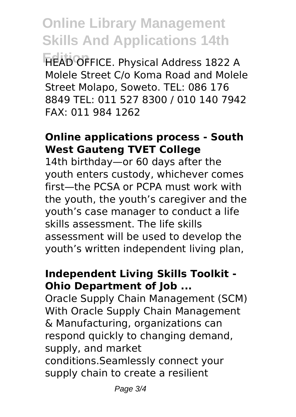**Online Library Management Skills And Applications 14th**

**Edition** HEAD OFFICE. Physical Address 1822 A Molele Street C/o Koma Road and Molele Street Molapo, Soweto. TEL: 086 176 8849 TEL: 011 527 8300 / 010 140 7942 FAX: 011 984 1262

#### **Online applications process - South West Gauteng TVET College**

14th birthday—or 60 days after the youth enters custody, whichever comes first—the PCSA or PCPA must work with the youth, the youth's caregiver and the youth's case manager to conduct a life skills assessment. The life skills assessment will be used to develop the youth's written independent living plan,

## **Independent Living Skills Toolkit - Ohio Department of Job ...**

Oracle Supply Chain Management (SCM) With Oracle Supply Chain Management & Manufacturing, organizations can respond quickly to changing demand, supply, and market conditions.Seamlessly connect your supply chain to create a resilient